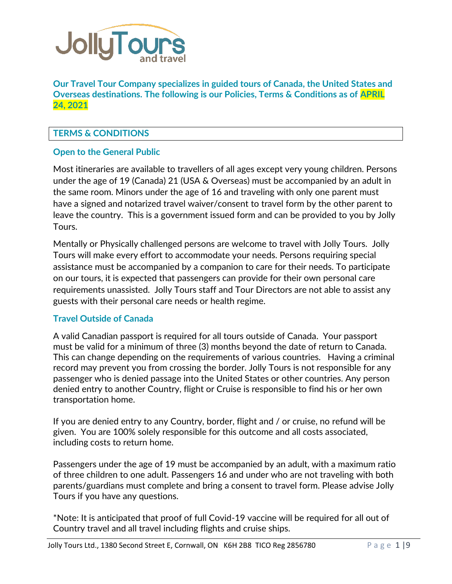

**Our Travel Tour Company specializes in guided tours of Canada, the United States and Overseas destinations. The following is our Policies, Terms & Conditions as of APRIL 24, 2021**

# **TERMS & CONDITIONS**

# **Open to the General Public**

Most itineraries are available to travellers of all ages except very young children. Persons under the age of 19 (Canada) 21 (USA & Overseas) must be accompanied by an adult in the same room. Minors under the age of 16 and traveling with only one parent must have a signed and notarized travel waiver/consent to travel form by the other parent to leave the country. This is a government issued form and can be provided to you by Jolly Tours.

Mentally or Physically challenged persons are welcome to travel with Jolly Tours. Jolly Tours will make every effort to accommodate your needs. Persons requiring special assistance must be accompanied by a companion to care for their needs. To participate on our tours, it is expected that passengers can provide for their own personal care requirements unassisted. Jolly Tours staff and Tour Directors are not able to assist any guests with their personal care needs or health regime.

## **Travel Outside of Canada**

A valid Canadian passport is required for all tours outside of Canada. Your passport must be valid for a minimum of three (3) months beyond the date of return to Canada. This can change depending on the requirements of various countries. Having a criminal record may prevent you from crossing the border. Jolly Tours is not responsible for any passenger who is denied passage into the United States or other countries. Any person denied entry to another Country, flight or Cruise is responsible to find his or her own transportation home.

If you are denied entry to any Country, border, flight and / or cruise, no refund will be given. You are 100% solely responsible for this outcome and all costs associated, including costs to return home.

Passengers under the age of 19 must be accompanied by an adult, with a maximum ratio of three children to one adult. Passengers 16 and under who are not traveling with both parents/guardians must complete and bring a consent to travel form. Please advise Jolly Tours if you have any questions.

\*Note: It is anticipated that proof of full Covid-19 vaccine will be required for all out of Country travel and all travel including flights and cruise ships.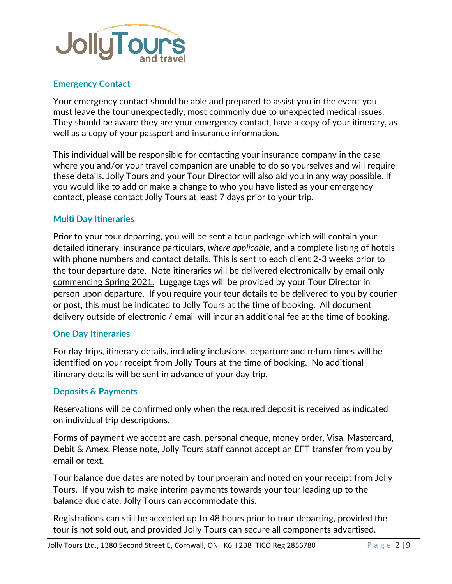

## **Emergency Contact**

Your emergency contact should be able and prepared to assist you in the event you must leave the tour unexpectedly, most commonly due to unexpected medical issues. They should be aware they are your emergency contact, have a copy of your itinerary, as well as a copy of your passport and insurance information.

This individual will be responsible for contacting your insurance company in the case where you and/or your travel companion are unable to do so yourselves and will require these details. Jolly Tours and your Tour Director will also aid you in any way possible. If you would like to add or make a change to who you have listed as your emergency contact, please contact Jolly Tours at least 7 days prior to your trip.

## **Multi Day Itineraries**

Prior to your tour departing, you will be sent a tour package which will contain your detailed itinerary, insurance particulars, *where applicable*, and a complete listing of hotels with phone numbers and contact details. This is sent to each client 2-3 weeks prior to the tour departure date. Note itineraries will be delivered electronically by email only commencing Spring 2021. Luggage tags will be provided by your Tour Director in person upon departure. If you require your tour details to be delivered to you by courier or post, this must be indicated to Jolly Tours at the time of booking. All document delivery outside of electronic / email will incur an additional fee at the time of booking.

## **One Day Itineraries**

For day trips, itinerary details, including inclusions, departure and return times will be identified on your receipt from Jolly Tours at the time of booking. No additional itinerary details will be sent in advance of your day trip.

## **Deposits & Payments**

Reservations will be confirmed only when the required deposit is received as indicated on individual trip descriptions.

Forms of payment we accept are cash, personal cheque, money order, Visa, Mastercard, Debit & Amex. Please note, Jolly Tours staff cannot accept an EFT transfer from you by email or text.

Tour balance due dates are noted by tour program and noted on your receipt from Jolly Tours. If you wish to make interim payments towards your tour leading up to the balance due date, Jolly Tours can accommodate this.

Registrations can still be accepted up to 48 hours prior to tour departing, provided the tour is not sold out, and provided Jolly Tours can secure all components advertised.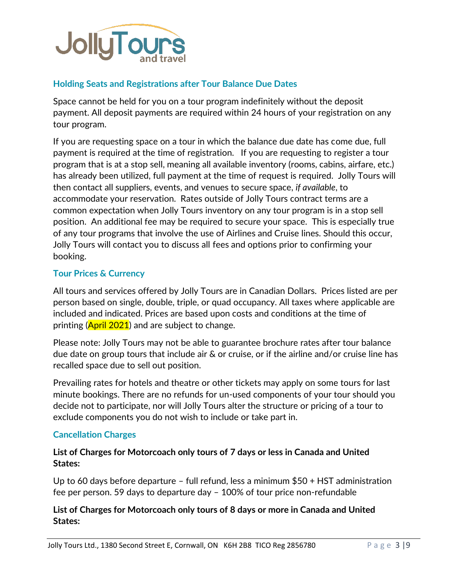

## **Holding Seats and Registrations after Tour Balance Due Dates**

Space cannot be held for you on a tour program indefinitely without the deposit payment. All deposit payments are required within 24 hours of your registration on any tour program.

If you are requesting space on a tour in which the balance due date has come due, full payment is required at the time of registration. If you are requesting to register a tour program that is at a stop sell, meaning all available inventory (rooms, cabins, airfare, etc.) has already been utilized, full payment at the time of request is required. Jolly Tours will then contact all suppliers, events, and venues to secure space, *if available*, to accommodate your reservation. Rates outside of Jolly Tours contract terms are a common expectation when Jolly Tours inventory on any tour program is in a stop sell position. An additional fee may be required to secure your space. This is especially true of any tour programs that involve the use of Airlines and Cruise lines. Should this occur, Jolly Tours will contact you to discuss all fees and options prior to confirming your booking.

## **Tour Prices & Currency**

All tours and services offered by Jolly Tours are in Canadian Dollars. Prices listed are per person based on single, double, triple, or quad occupancy. All taxes where applicable are included and indicated. Prices are based upon costs and conditions at the time of printing  $(Apri 2021)$  and are subject to change.

Please note: Jolly Tours may not be able to guarantee brochure rates after tour balance due date on group tours that include air & or cruise, or if the airline and/or cruise line has recalled space due to sell out position.

Prevailing rates for hotels and theatre or other tickets may apply on some tours for last minute bookings. There are no refunds for un-used components of your tour should you decide not to participate, nor will Jolly Tours alter the structure or pricing of a tour to exclude components you do not wish to include or take part in.

## **Cancellation Charges**

# **List of Charges for Motorcoach only tours of 7 days or less in Canada and United States:**

Up to 60 days before departure – full refund, less a minimum \$50 + HST administration fee per person. 59 days to departure day – 100% of tour price non-refundable

# **List of Charges for Motorcoach only tours of 8 days or more in Canada and United States:**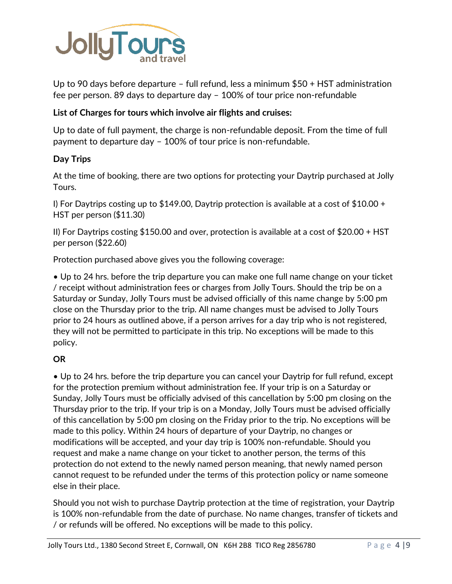

Up to 90 days before departure – full refund, less a minimum \$50 + HST administration fee per person. 89 days to departure day – 100% of tour price non-refundable

# **List of Charges for tours which involve air flights and cruises:**

Up to date of full payment, the charge is non-refundable deposit. From the time of full payment to departure day – 100% of tour price is non-refundable.

## **Day Trips**

At the time of booking, there are two options for protecting your Daytrip purchased at Jolly Tours.

I) For Daytrips costing up to \$149.00, Daytrip protection is available at a cost of  $$10.00 +$ HST per person (\$11.30)

II) For Daytrips costing \$150.00 and over, protection is available at a cost of \$20.00 + HST per person (\$22.60)

Protection purchased above gives you the following coverage:

• Up to 24 hrs. before the trip departure you can make one full name change on your ticket / receipt without administration fees or charges from Jolly Tours. Should the trip be on a Saturday or Sunday, Jolly Tours must be advised officially of this name change by 5:00 pm close on the Thursday prior to the trip. All name changes must be advised to Jolly Tours prior to 24 hours as outlined above, if a person arrives for a day trip who is not registered, they will not be permitted to participate in this trip. No exceptions will be made to this policy.

## **OR**

• Up to 24 hrs. before the trip departure you can cancel your Daytrip for full refund, except for the protection premium without administration fee. If your trip is on a Saturday or Sunday, Jolly Tours must be officially advised of this cancellation by 5:00 pm closing on the Thursday prior to the trip. If your trip is on a Monday, Jolly Tours must be advised officially of this cancellation by 5:00 pm closing on the Friday prior to the trip. No exceptions will be made to this policy. Within 24 hours of departure of your Daytrip, no changes or modifications will be accepted, and your day trip is 100% non-refundable. Should you request and make a name change on your ticket to another person, the terms of this protection do not extend to the newly named person meaning, that newly named person cannot request to be refunded under the terms of this protection policy or name someone else in their place.

Should you not wish to purchase Daytrip protection at the time of registration, your Daytrip is 100% non-refundable from the date of purchase. No name changes, transfer of tickets and / or refunds will be offered. No exceptions will be made to this policy.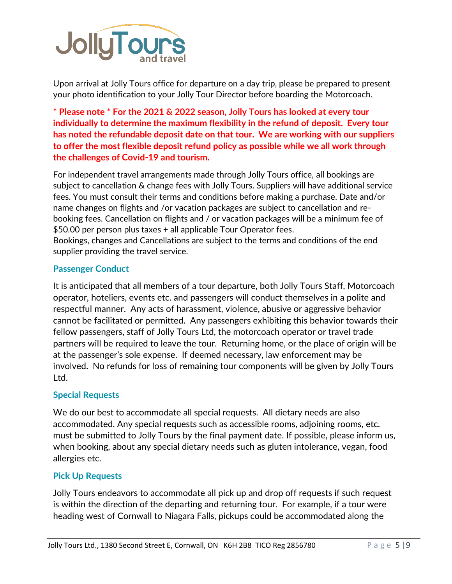

Upon arrival at Jolly Tours office for departure on a day trip, please be prepared to present your photo identification to your Jolly Tour Director before boarding the Motorcoach.

**\* Please note \* For the 2021 & 2022 season, Jolly Tours has looked at every tour individually to determine the maximum flexibility in the refund of deposit. Every tour has noted the refundable deposit date on that tour. We are working with our suppliers to offer the most flexible deposit refund policy as possible while we all work through the challenges of Covid-19 and tourism.**

For independent travel arrangements made through Jolly Tours office, all bookings are subject to cancellation & change fees with Jolly Tours. Suppliers will have additional service fees. You must consult their terms and conditions before making a purchase. Date and/or name changes on flights and /or vacation packages are subject to cancellation and rebooking fees. Cancellation on flights and / or vacation packages will be a minimum fee of \$50.00 per person plus taxes + all applicable Tour Operator fees. Bookings, changes and Cancellations are subject to the terms and conditions of the end supplier providing the travel service.

## **Passenger Conduct**

It is anticipated that all members of a tour departure, both Jolly Tours Staff, Motorcoach operator, hoteliers, events etc. and passengers will conduct themselves in a polite and respectful manner. Any acts of harassment, violence, abusive or aggressive behavior cannot be facilitated or permitted. Any passengers exhibiting this behavior towards their fellow passengers, staff of Jolly Tours Ltd, the motorcoach operator or travel trade partners will be required to leave the tour. Returning home, or the place of origin will be at the passenger's sole expense. If deemed necessary, law enforcement may be involved. No refunds for loss of remaining tour components will be given by Jolly Tours Ltd.

## **Special Requests**

We do our best to accommodate all special requests. All dietary needs are also accommodated. Any special requests such as accessible rooms, adjoining rooms, etc. must be submitted to Jolly Tours by the final payment date. If possible, please inform us, when booking, about any special dietary needs such as gluten intolerance, vegan, food allergies etc.

## **Pick Up Requests**

Jolly Tours endeavors to accommodate all pick up and drop off requests if such request is within the direction of the departing and returning tour. For example, if a tour were heading west of Cornwall to Niagara Falls, pickups could be accommodated along the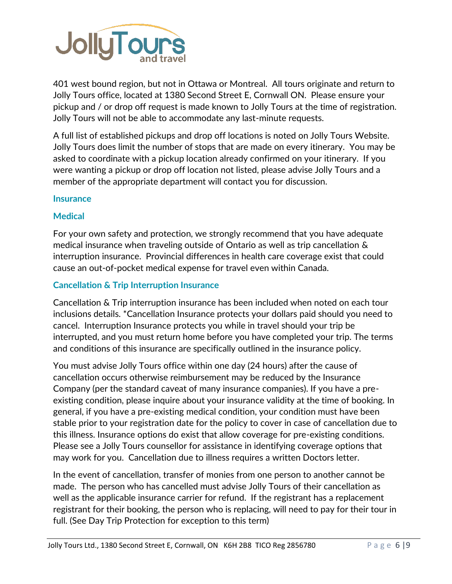

401 west bound region, but not in Ottawa or Montreal. All tours originate and return to Jolly Tours office, located at 1380 Second Street E, Cornwall ON. Please ensure your pickup and / or drop off request is made known to Jolly Tours at the time of registration. Jolly Tours will not be able to accommodate any last-minute requests.

A full list of established pickups and drop off locations is noted on Jolly Tours Website. Jolly Tours does limit the number of stops that are made on every itinerary. You may be asked to coordinate with a pickup location already confirmed on your itinerary. If you were wanting a pickup or drop off location not listed, please advise Jolly Tours and a member of the appropriate department will contact you for discussion.

## **Insurance**

## **Medical**

For your own safety and protection, we strongly recommend that you have adequate medical insurance when traveling outside of Ontario as well as trip cancellation & interruption insurance. Provincial differences in health care coverage exist that could cause an out-of-pocket medical expense for travel even within Canada.

# **Cancellation & Trip Interruption Insurance**

Cancellation & Trip interruption insurance has been included when noted on each tour inclusions details. \*Cancellation Insurance protects your dollars paid should you need to cancel. Interruption Insurance protects you while in travel should your trip be interrupted, and you must return home before you have completed your trip. The terms and conditions of this insurance are specifically outlined in the insurance policy.

You must advise Jolly Tours office within one day (24 hours) after the cause of cancellation occurs otherwise reimbursement may be reduced by the Insurance Company (per the standard caveat of many insurance companies). If you have a preexisting condition, please inquire about your insurance validity at the time of booking. In general, if you have a pre-existing medical condition, your condition must have been stable prior to your registration date for the policy to cover in case of cancellation due to this illness. Insurance options do exist that allow coverage for pre-existing conditions. Please see a Jolly Tours counsellor for assistance in identifying coverage options that may work for you. Cancellation due to illness requires a written Doctors letter.

In the event of cancellation, transfer of monies from one person to another cannot be made. The person who has cancelled must advise Jolly Tours of their cancellation as well as the applicable insurance carrier for refund. If the registrant has a replacement registrant for their booking, the person who is replacing, will need to pay for their tour in full. (See Day Trip Protection for exception to this term)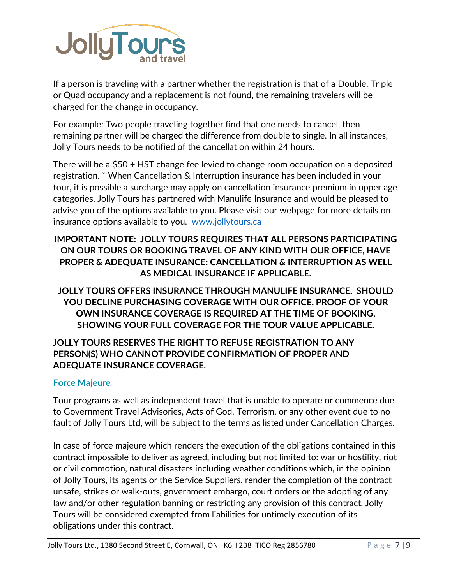

If a person is traveling with a partner whether the registration is that of a Double, Triple or Quad occupancy and a replacement is not found, the remaining travelers will be charged for the change in occupancy.

For example: Two people traveling together find that one needs to cancel, then remaining partner will be charged the difference from double to single. In all instances, Jolly Tours needs to be notified of the cancellation within 24 hours.

There will be a \$50 + HST change fee levied to change room occupation on a deposited registration. \* When Cancellation & Interruption insurance has been included in your tour, it is possible a surcharge may apply on cancellation insurance premium in upper age categories. Jolly Tours has partnered with Manulife Insurance and would be pleased to advise you of the options available to you. Please visit our webpage for more details on insurance options available to you. [www.jollytours.ca](http://www.jollytours.ca/)

# **IMPORTANT NOTE: JOLLY TOURS REQUIRES THAT ALL PERSONS PARTICIPATING ON OUR TOURS OR BOOKING TRAVEL OF ANY KIND WITH OUR OFFICE, HAVE PROPER & ADEQUATE INSURANCE; CANCELLATION & INTERRUPTION AS WELL AS MEDICAL INSURANCE IF APPLICABLE.**

**JOLLY TOURS OFFERS INSURANCE THROUGH MANULIFE INSURANCE. SHOULD YOU DECLINE PURCHASING COVERAGE WITH OUR OFFICE, PROOF OF YOUR OWN INSURANCE COVERAGE IS REQUIRED AT THE TIME OF BOOKING, SHOWING YOUR FULL COVERAGE FOR THE TOUR VALUE APPLICABLE.**

# **JOLLY TOURS RESERVES THE RIGHT TO REFUSE REGISTRATION TO ANY PERSON(S) WHO CANNOT PROVIDE CONFIRMATION OF PROPER AND ADEQUATE INSURANCE COVERAGE.**

# **Force Majeure**

Tour programs as well as independent travel that is unable to operate or commence due to Government Travel Advisories, Acts of God, Terrorism, or any other event due to no fault of Jolly Tours Ltd, will be subject to the terms as listed under Cancellation Charges.

In case of force majeure which renders the execution of the obligations contained in this contract impossible to deliver as agreed, including but not limited to: war or hostility, riot or civil commotion, natural disasters including weather conditions which, in the opinion of Jolly Tours, its agents or the Service Suppliers, render the completion of the contract unsafe, strikes or walk-outs, government embargo, court orders or the adopting of any law and/or other regulation banning or restricting any provision of this contract, Jolly Tours will be considered exempted from liabilities for untimely execution of its obligations under this contract.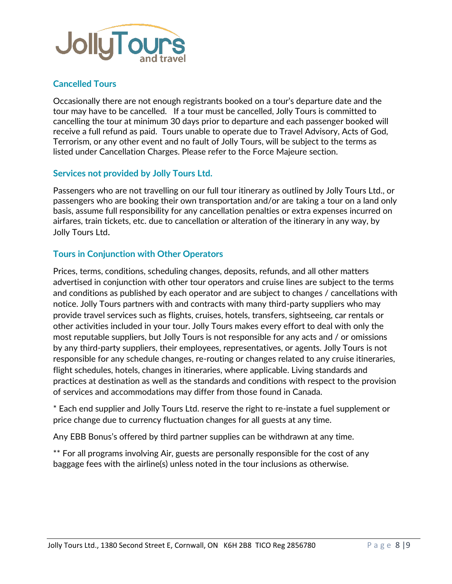

## **Cancelled Tours**

Occasionally there are not enough registrants booked on a tour's departure date and the tour may have to be cancelled. If a tour must be cancelled, Jolly Tours is committed to cancelling the tour at minimum 30 days prior to departure and each passenger booked will receive a full refund as paid. Tours unable to operate due to Travel Advisory, Acts of God, Terrorism, or any other event and no fault of Jolly Tours, will be subject to the terms as listed under Cancellation Charges. Please refer to the Force Majeure section.

#### **Services not provided by Jolly Tours Ltd.**

Passengers who are not travelling on our full tour itinerary as outlined by Jolly Tours Ltd., or passengers who are booking their own transportation and/or are taking a tour on a land only basis, assume full responsibility for any cancellation penalties or extra expenses incurred on airfares, train tickets, etc. due to cancellation or alteration of the itinerary in any way, by Jolly Tours Ltd.

## **Tours in Conjunction with Other Operators**

Prices, terms, conditions, scheduling changes, deposits, refunds, and all other matters advertised in conjunction with other tour operators and cruise lines are subject to the terms and conditions as published by each operator and are subject to changes / cancellations with notice. Jolly Tours partners with and contracts with many third-party suppliers who may provide travel services such as flights, cruises, hotels, transfers, sightseeing, car rentals or other activities included in your tour. Jolly Tours makes every effort to deal with only the most reputable suppliers, but Jolly Tours is not responsible for any acts and / or omissions by any third-party suppliers, their employees, representatives, or agents. Jolly Tours is not responsible for any schedule changes, re-routing or changes related to any cruise itineraries, flight schedules, hotels, changes in itineraries, where applicable. Living standards and practices at destination as well as the standards and conditions with respect to the provision of services and accommodations may differ from those found in Canada.

\* Each end supplier and Jolly Tours Ltd. reserve the right to re-instate a fuel supplement or price change due to currency fluctuation changes for all guests at any time.

Any EBB Bonus's offered by third partner supplies can be withdrawn at any time.

\*\* For all programs involving Air, guests are personally responsible for the cost of any baggage fees with the airline(s) unless noted in the tour inclusions as otherwise.